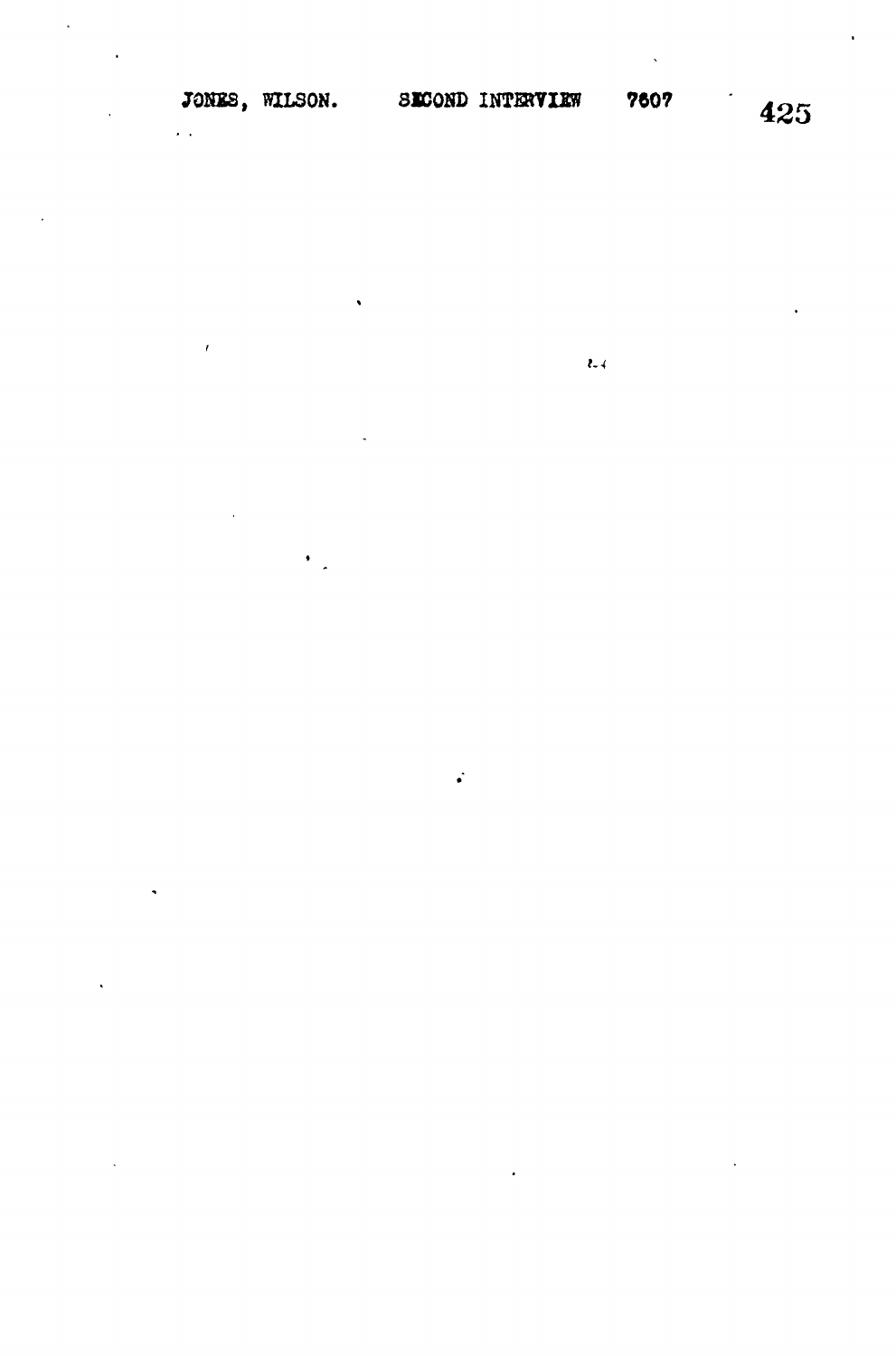$\overline{a}$ 

ï

۰

 $\vec{\bullet}$ 

 $\overline{t}$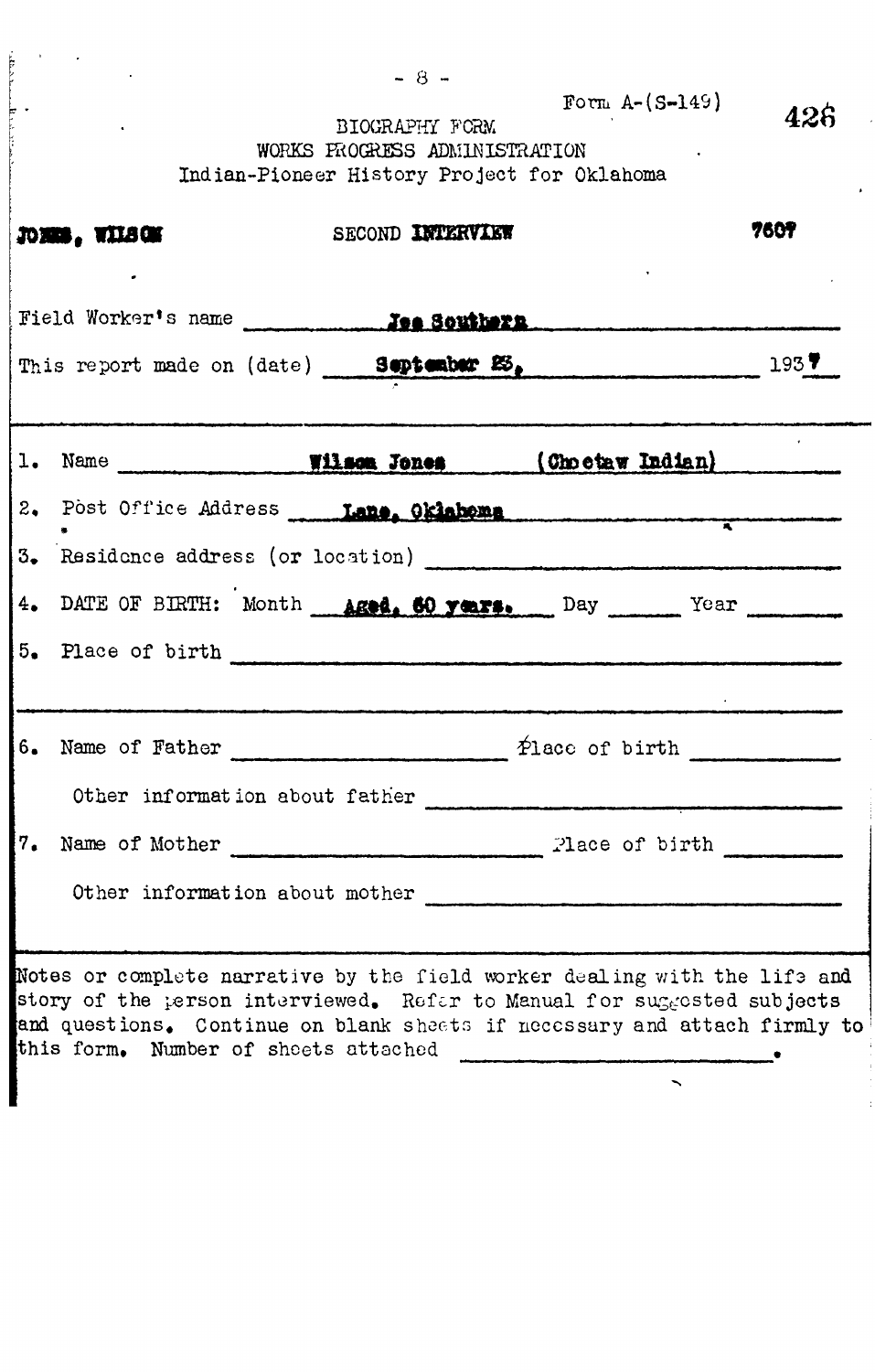|                                                                                                                                                                                                                               |                                | BIOGRAPHY FORM<br>WORKS PROGRESS ADMINISTRATION<br>Indian-Pioneer History Project for Oklahoma                                                                                                                                    | Form $A - (S - 149)$<br>426 |
|-------------------------------------------------------------------------------------------------------------------------------------------------------------------------------------------------------------------------------|--------------------------------|-----------------------------------------------------------------------------------------------------------------------------------------------------------------------------------------------------------------------------------|-----------------------------|
|                                                                                                                                                                                                                               | <b>JOHNS, WILSON</b>           | <b>SECOND INTERVIEW</b>                                                                                                                                                                                                           | 7607                        |
|                                                                                                                                                                                                                               |                                |                                                                                                                                                                                                                                   |                             |
|                                                                                                                                                                                                                               |                                | This report made on (date) Suptember 23, 1937                                                                                                                                                                                     |                             |
|                                                                                                                                                                                                                               |                                |                                                                                                                                                                                                                                   |                             |
| 2. Post Office Address Lang, Oklahoma                                                                                                                                                                                         |                                |                                                                                                                                                                                                                                   |                             |
| 3. Residence address (or location) contract and a set of the set of the set of the set of the set of the set of the set of the set of the set of the set of the set of the set of the set of the set of the set of the set of |                                |                                                                                                                                                                                                                                   |                             |
| 4. DATE OF BIRTH: Month Aged, 60 years. Day Year Year                                                                                                                                                                         |                                |                                                                                                                                                                                                                                   |                             |
|                                                                                                                                                                                                                               |                                |                                                                                                                                                                                                                                   |                             |
|                                                                                                                                                                                                                               |                                | 6. Name of Father $\overline{\text{?}}$ lace of birth                                                                                                                                                                             |                             |
|                                                                                                                                                                                                                               | Other information about father |                                                                                                                                                                                                                                   |                             |
| 7.                                                                                                                                                                                                                            |                                |                                                                                                                                                                                                                                   |                             |
|                                                                                                                                                                                                                               |                                | Other information about mother                                                                                                                                                                                                    |                             |
|                                                                                                                                                                                                                               |                                | Notes or complete narrative by the field worker dealing with the life and<br>story of the person interviewed. Refer to Manual for suggested subjects<br>and questions. Continue on blank sheets if necessary and attach firmly to |                             |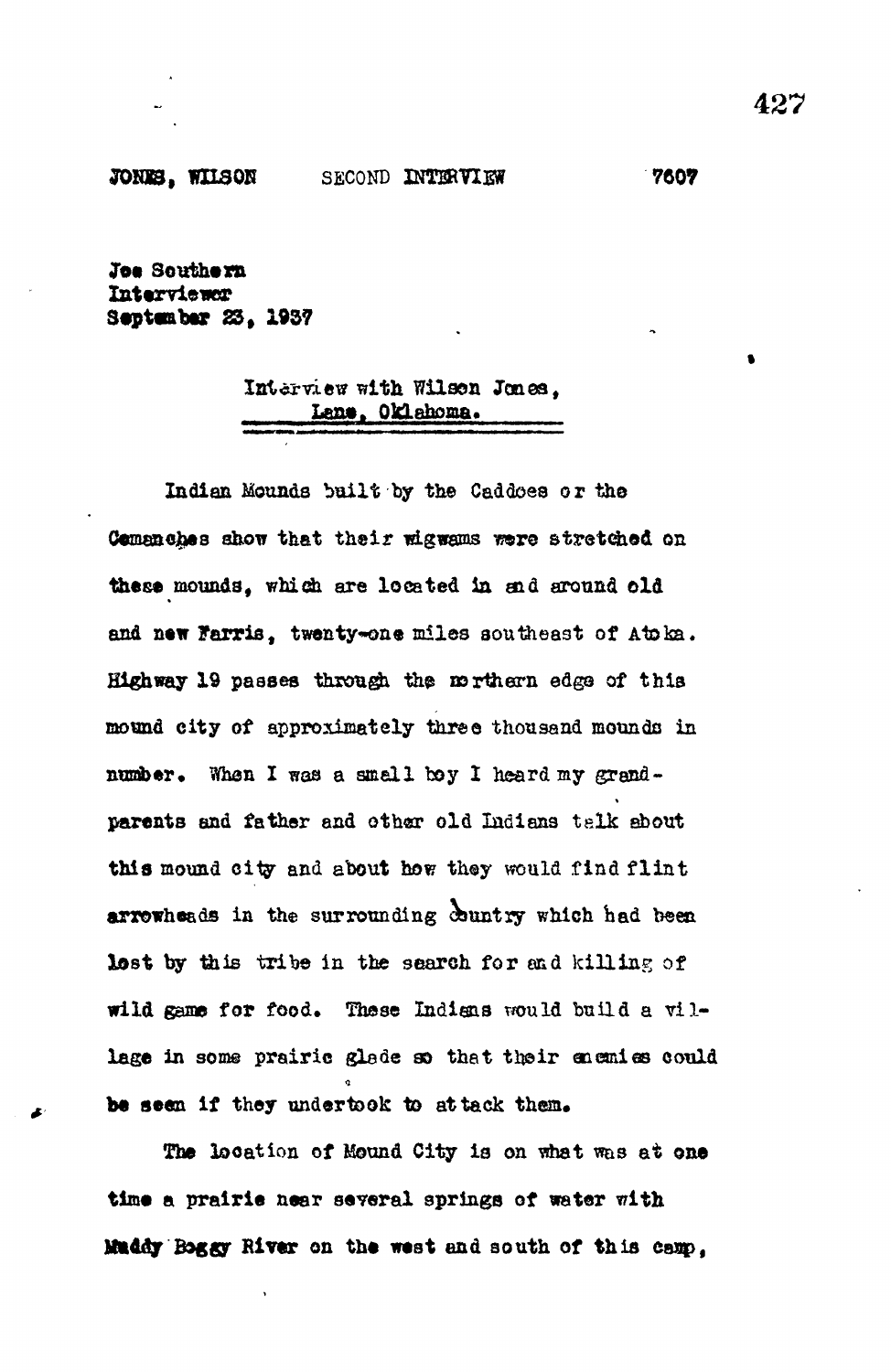## JONES, WILSON SECOND INTERVIEW 7607

Joe Southern Interviewer September 23, 1957

> Interview with Wilaon Jones, Lene, Oklahoma.

Indian Mounds built by the Cad does or the Comanches show that their wigwams were stretched on these mounds, which are located in and around old and new Farris, twenty-one miles southeast of Atoka. Highway 19 passes through the nsrUiern edge of this mound city of approximately three thousand mounds in number. Whan I was a small boy I heard my grandparents and father and other old Indians telk about this mound city and about how they would find flint arrowheads in the surrounding country which had been lost by this tribe in the search for and killing of wild game for food. These Indians would build a village in some prairie glede so that their enemies could be seen if they undertook to attack them.

The location of Mound City is on what was at one time a prairie near several springs of water with Muddy Boggy River on the west and south of this camp.